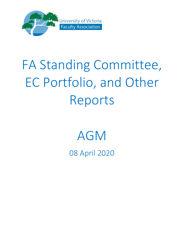

# FA Standing Committee, EC Portfolio, and Other Reports

## AGM

08 April 2020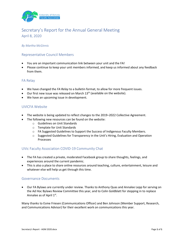

## Secretary's Report for the Annual General Meeting April 8, 2020

#### *By Martha McGinnis*

#### Representative Council Members

- You are an important communication link between your unit and the FA!
- Please continue to keep your unit members informed, and keep us informed about any feedback from them.

#### FA Relay

- We have changed the *FA Relay* to a bulletin format, to allow for more frequent issues.
- Our first new issue was released on March  $13<sup>th</sup>$  (available on the website).
- We have an upcoming issue in development.

#### UVICFA Website

- The website is being updated to reflect changes to the 2019–2022 Collective Agreement.
- The following new resources can be found on the website:
	- o Guidelines on Unit Standards
	- o Template for Unit Standards
	- $\circ$  FA Suggested Guidelines to Support the Success of Indigenous Faculty Members.
	- $\circ$  Suggested Guidelines for Transparency in the Unit's Hiring, Evaluation and Operation Processes

#### UVic Faculty Association COVID-19 Community Chat

- The FA has created a private, moderated Facebook group to share thoughts, feelings, and experiences around the current pandemic.
- This is also a place to share online resources around teaching, culture, entertainment, leisure and whatever else will help us get through this time.

#### Governance Documents

• Our FA Bylaws are currently under review. Thanks to Anthony Quas and Annalee Lepp for serving on the Ad Hoc Bylaws Review Committee this year, and to Colin Goldblatt for stepping in to replace Annalee as of April 1st.

Many thanks to Esme Friesen (Communications Officer) and Ben Johnson (Member Support, Research, and Communications Advisor) for their excellent work on communications this year.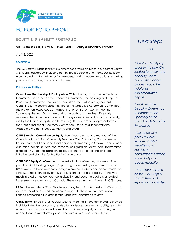

## EC PORTFOLIO REPORT

#### **EQUITY & DISABILITY PORTFOLIO**

#### **VICTORIA WYATT, EC MEMBER-AT-LARGE, Equity & Disability Portfolio**

April 3, 2020

#### **Overview**

The EC Equity & Disability Portfolio embraces diverse activities in support of Equity & Disability advocacy, including committee leadership and membership, liaison work, providing information for FA Members, making recommendations regarding policy and practice, and similar initiatives.

#### **Primary Activities**

**Committee Membership & Participation**: Within the FA, I chair the FA Disability Committee and serve on the Executive Committee, the Advising and Dispute Resolution Committee, the Equity Committee, the Collective Agreement Committee, the Equity Subcommittee of the Collective Agreement Committee, the FA Human Resources Committee, the Tuition Benefit Committee, the Scholarship Review Committee and some ad-hoc committees. Externally, I represent the FA on the Academic Advisory Committee on Equity and Diversity, run by the Office of Equity and Human Rights. I also am a FA representative on the Continuing Benefits Advisory Committee. I serve as a liaison with the Academic Women's Caucus, MIWIN, and OFAR.

**CAUT Standing Committee on Equity**: I continue to serve as a member of the Canadian Association of University Teachers (CAUT) Standing Committee on Equity. Last week I attended their February 2020 meeting in Ottawa. Topics under discussion include, but are not limited to, designing an Equity Toolkit for member associations, age discrimination, policy statement on a national child care initiative, and planning for the Equity Conference.

**CAUT 2020 Equity Conference:** Last week at this conference, I presented in a panel on "Celebrating Progress," speaking about strategies we have used at UVic over time to achieve some progress around disability and accommodation. (The EC Portfolio on Equity and Disability is one of those strategies.) There was much interest at the conference in disability and accommodation, as related issues seem prevalent across Canada. There was also much interest in CES issues.

**FAQs:** The website FAQS on Sick Leave, Long Term Disability, Return to Work and Accommodation are under revision to align with the new CA. I am almost finished preparing a first draft for the Disability Committee's review.

**Consultation:** Since the last regular Council meeting, I have continued to provide individual Member advocacy related to sick leave, long term disability, return to work and accommodation. I consult with officers on equity and disability as needed, and have informally consulted with a FA at another institution.

## *Next Steps*

• • •

*\* Assist in identifying areas in the new CA related to equity and disability where clarification about* 

*process would be helpful as implementation begins*

*\* Work with the Disability Committee to complete the updating of the Disability FAQs on the FA website*

*\* Continue with policy reviews, reviews of UVIC websites, and individual consultations relating to disability and accommodation*

*\* Continue to serve on the CAUT Equity Committee and report on its activities.*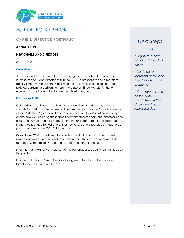



#### **CHAIR & DIRECTOR PORTFOLIO**

#### **ANNALEE LEPP**

#### **NEW CHAIRS AND DIRECTORS**

April 6, 2020

#### **Overview**

The Chair and Director Portfolio covers two general activities: 1. To represent the interests of chairs and directors within the FA, 2. To assist chairs and directors to achieve improvements in their jobs, whether that involves developing better policies, bargaining positions, or resolving disputes. Since May 2019, I have worked with chairs and directors on the following matters:

#### **Primary Activities**

**Outreach:** My goal was to continue to provide chair and directors, or those considering taking on these roles, with information and advice. Since the release of the Collective Agreement, I attended various Faculty Association workshops on the new CA, including those specifically directed at chairs and directors. I also assisted a number of chairs in developing the Unit Standard for their department. In April, we planned to host a forum for new chairs and directors but it had to be postponed due to the COVID 19 shutdown.

**Consultation Work:** I continued to provide individual chairs and directors with advice and representation related to difficulties with either deans or with fellow members. Other advice was also provided on an ongoing basis.

I want to thank Patrick van Aderkas for his tremendous support when I first took on this position.

I also want to thank Christopher Bose for agreeing to take on the Chair and Director portfolio as of April 1, 2020.

## *Next Steps*

• • •

*\* Organize a new chairs and directors forum*

*\* Continue to represent chairs and directors who have problems.*

*\* Continue to serve on the ADRC Committee as the Chair and Directors representative.*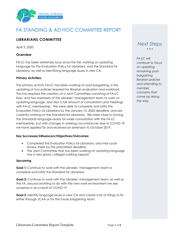

## FA STANDING & AD HOC COMMITTEE REPORT

## **LIBRARIANS COMMITTEE**

April 3, 2020

#### **Overview**

FA-LC has been extremely busy since the fall, working on updating language for the Evaluation Policy for Librarians, and the Standard for Librarians, as well as identifying language issues in new CA.

#### **Primary Activities:**

The primary activity FA-LC has been working on post-bargaining, is the updating of two policies required for librarian evaluation and workload. This has required the creation of a Joint Committee consisting of FA-LC Exec and two members of the Libraries' management team to work on updating language, and also a fair amount of consultation and meetings with FA-LC membership. We were able to complete and ratify the Evaluation Policy for Librarians by the January 15, 2020 deadline, and are currently working on the Standard for Librarians. We were close to having the Standards language ready for wider consultation with the FA-LC membership, but with changes in working circumstances due to COVID-19, we have applied for and received an extension to October 2019.

#### **Key Successes/Influencers/Objectives/Outcomes:**

- Completed the Evaluation Policy for Librarians, and mid-cycle review sheet by the prescribed deadline.
- The Joint Committee that has been working on updating language has a very good, collegial working rapport.

#### **Upcoming**

**Goal 1:** Continue to work with the Libraries' management team to complete and ratify the Standard for Librarians.

**Goal 2:** Continue to work with the Libraries' management team, as well as the FA, around anything to do with the new work environment we see ourselves in as a result of COVID-19

**Goal 3:** Identify language issues in new CA and create a list of things to fix either through JCAA or for the future bargaining team.

## *Next Steps* • • •

*FA-LC will continue to focus on updating remaining postbargaining librarian policies and attending to member concerns that come up along the way.*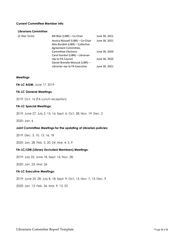#### **Current Committee Member Info**

#### **Librarians Committee**

| (2 Year Term) | Bill Blair (LIBR) - Co-Chair      | June 30, 2021 |
|---------------|-----------------------------------|---------------|
|               | Jessica Mussell (LIBR) - Co-Chair | June 30, 2021 |
|               | Alex Burdett (LIBR) - Collective  |               |
|               | Agreement Committee,              |               |
|               | <b>Committee Elections</b>        | June 30, 2020 |
|               | Carol Gordon (LIBR) - Librarian   |               |
|               | rep to FA Council                 | June 30, 2020 |
|               | Daniel Brendle-Moczuk (LIBR) -    |               |
|               | Librarian rep to FA Executive     | June 30, 2021 |

#### **Meetings**

**FA-LC AGM:** June 17, 2019

#### **FA-LC General Meetings:**

2019: Oct. 16 (FA Lunch reception)

#### **FA-LC Special Meetings:**

2019: June 27; July 2, 15, 16; Sept. 6; Oct. 28; Nov. 19; Dec. 2

2020: Jan. 6

#### **Joint Committee Meetings for the updating of Librarian policies:**

2019: Dec. 3, 10, 13, 16, 18

2020: Jan. 28; Feb. 5, 20, 24; Mar. 4, 5, 9

#### **FA-LC/LEM (Library Excluded Members) Meetings:**

2019: July 22; June 18, Sept. 16; Nov. 28;

2020: Jan. 23; Mar. 26

#### **FA-LC Executive Meetings:**

2019: June 25, 28; July 8, 18; Sept. 9; Oct. 15; Nov. 7, 13; Dec. 9

2020: Jan. 13; Feb. 26; Mar. 9, 12, 23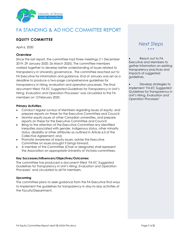

## FA STANDING & AD HOC COMMITTEE REPORT

## **EQUITY COMMITTEE**

April 6, 2020

#### **Overview**

Since the last report, the committee had three meetings (11 December 2019; 29 January 2020; 26 March 2020). The committee members worked together to develop better understanding of issues related to transparency in University governance. The committee reached out to FA Executive for information and guidance. End of January was set as a deadline to produce a two-page comprehensive guidelines for transparency in hiring, evaluation and operation processes. The final document titled '*FA-EC Suggested Guidelines for Transparency in Unit's Hiring, Evaluation and Operation Processes*' was circulated to the FA members on 12 February 2020.

#### **Primary Activities:**

- Conduct regular surveys of Members regarding issues of equity, and prepare reports on these for the Executive Committee and Council;
- Monitor equity issues at other Canadian universities, and prepare reports on these for the Executive Committee and Council;
- Bring to the attention of the Executive Committee any identified inequities associated with gender, Indigenous status, other minority status, disability or other attributes as outlined in Article 6.0 of the Collective Agreement; and,
- Promote awareness of equity issues; advise the Executive Committee on issues brought it brings forward.
- A member of the Committee (Chair or designate) shall represent the Association on appropriate University of Victoria committees.

#### **Key Successes/Influencers/Objectives/Outcomes:**

The committee has produced a document titled '*FA-EC Suggested Guidelines for Transparency in Unit's Hiring, Evaluation and Operation Processes*' and circulated to all FA members.

#### **Upcoming**

The committee plans to seek guidance from the FA Executive find ways to implement the guidelines for transparency in day-to-day activities of the Faculty/Department.

### *Next Steps* • • •

Reach out to FA Executive and Members to gather information on existing transparency practices and impacts of suggested guidelines.

• Develop strategies to implement '*FA-EC Suggested Guidelines for Transparency in Unit's Hiring, Evaluation and Operation Processes*'